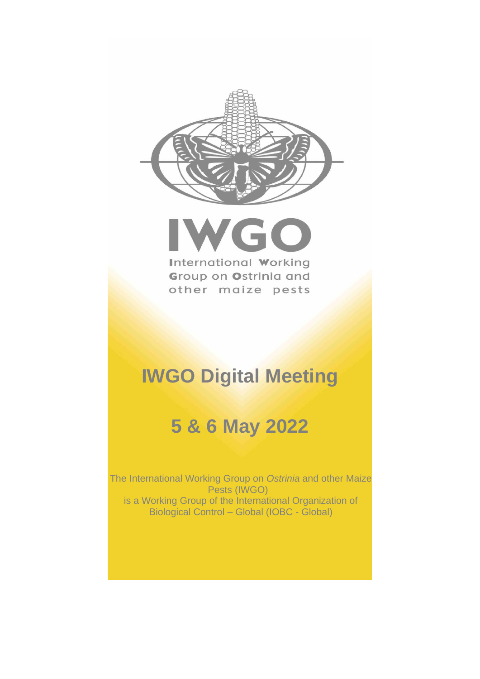



# **IWGO Digital Meeting**

# **5 & 6 May 2022**

The International Working Group on *Ostrinia* and other Maize Pests (IWGO) is a Working Group of the International Organization of Biological Control – Global (IOBC - Global)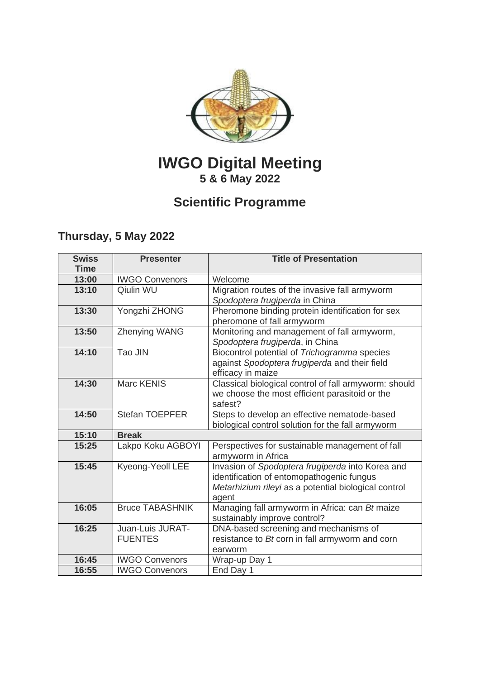

# **IWGO Digital Meeting 5 & 6 May 2022**

# **Scientific Programme**

# **Thursday, 5 May 2022**

| <b>Swiss</b><br><b>Time</b> | <b>Presenter</b>                   | <b>Title of Presentation</b>                                                                                                                                   |  |  |
|-----------------------------|------------------------------------|----------------------------------------------------------------------------------------------------------------------------------------------------------------|--|--|
| 13:00                       | <b>IWGO Convenors</b>              | Welcome                                                                                                                                                        |  |  |
| 13:10                       | Qiulin WU                          | Migration routes of the invasive fall armyworm<br>Spodoptera frugiperda in China                                                                               |  |  |
| 13:30                       | Yongzhi ZHONG                      | Pheromone binding protein identification for sex<br>pheromone of fall armyworm                                                                                 |  |  |
| 13:50                       | Zhenying WANG                      | Monitoring and management of fall armyworm,<br>Spodoptera frugiperda, in China                                                                                 |  |  |
| 14:10                       | Tao JIN                            | Biocontrol potential of Trichogramma species<br>against Spodoptera frugiperda and their field<br>efficacy in maize                                             |  |  |
| 14:30                       | <b>Marc KENIS</b>                  | Classical biological control of fall armyworm: should<br>we choose the most efficient parasitoid or the<br>safest?                                             |  |  |
| 14:50                       | <b>Stefan TOEPFER</b>              | Steps to develop an effective nematode-based<br>biological control solution for the fall armyworm                                                              |  |  |
| 15:10                       | <b>Break</b>                       |                                                                                                                                                                |  |  |
| 15:25                       | Lakpo Koku AGBOYI                  | Perspectives for sustainable management of fall<br>armyworm in Africa                                                                                          |  |  |
| 15:45                       | Kyeong-Yeoll LEE                   | Invasion of Spodoptera frugiperda into Korea and<br>identification of entomopathogenic fungus<br>Metarhizium rileyi as a potential biological control<br>agent |  |  |
| 16:05                       | <b>Bruce TABASHNIK</b>             | Managing fall armyworm in Africa: can Bt maize<br>sustainably improve control?                                                                                 |  |  |
| 16:25                       | Juan-Luis JURAT-<br><b>FUENTES</b> | DNA-based screening and mechanisms of<br>resistance to Bt corn in fall armyworm and corn<br>earworm                                                            |  |  |
| 16:45                       | <b>IWGO Convenors</b>              | Wrap-up Day 1                                                                                                                                                  |  |  |
| 16:55                       | <b>IWGO Convenors</b>              | End Day 1                                                                                                                                                      |  |  |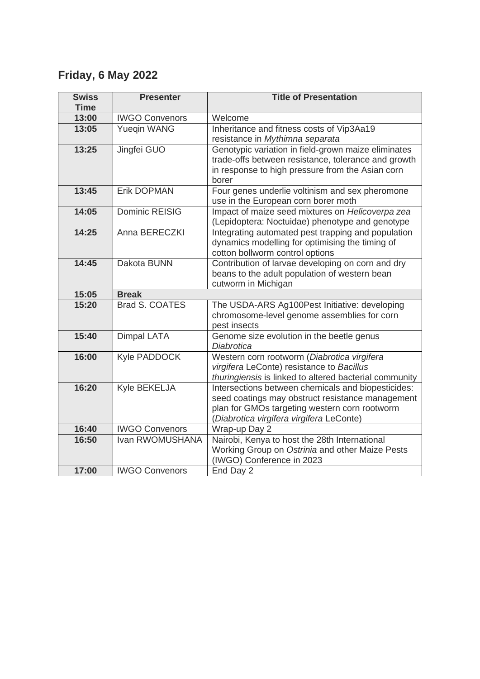# **Friday, 6 May 2022**

| <b>Swiss</b> | <b>Presenter</b>      | <b>Title of Presentation</b>                                                             |  |  |
|--------------|-----------------------|------------------------------------------------------------------------------------------|--|--|
| <b>Time</b>  |                       |                                                                                          |  |  |
| 13:00        | <b>IWGO Convenors</b> | Welcome                                                                                  |  |  |
| 13:05        | <b>Yuegin WANG</b>    | Inheritance and fitness costs of Vip3Aa19                                                |  |  |
|              |                       | resistance in Mythimna separata                                                          |  |  |
| 13:25        | Jingfei GUO           | Genotypic variation in field-grown maize eliminates                                      |  |  |
|              |                       | trade-offs between resistance, tolerance and growth                                      |  |  |
|              |                       | in response to high pressure from the Asian corn                                         |  |  |
|              |                       | borer                                                                                    |  |  |
| 13:45        | <b>Erik DOPMAN</b>    | Four genes underlie voltinism and sex pheromone                                          |  |  |
|              |                       | use in the European corn borer moth                                                      |  |  |
| 14:05        | <b>Dominic REISIG</b> | Impact of maize seed mixtures on Helicoverpa zea                                         |  |  |
|              |                       | (Lepidoptera: Noctuidae) phenotype and genotype                                          |  |  |
| 14:25        | Anna BERECZKI         | Integrating automated pest trapping and population                                       |  |  |
|              |                       | dynamics modelling for optimising the timing of                                          |  |  |
|              |                       | cotton bollworm control options                                                          |  |  |
| 14:45        | Dakota BUNN           | Contribution of larvae developing on corn and dry                                        |  |  |
|              |                       | beans to the adult population of western bean                                            |  |  |
|              |                       | cutworm in Michigan                                                                      |  |  |
| 15:05        | <b>Break</b>          |                                                                                          |  |  |
| 15:20        | Brad S. COATES        | The USDA-ARS Ag100Pest Initiative: developing                                            |  |  |
|              |                       | chromosome-level genome assemblies for corn                                              |  |  |
| 15:40        |                       | pest insects                                                                             |  |  |
|              | <b>Dimpal LATA</b>    | Genome size evolution in the beetle genus<br><b>Diabrotica</b>                           |  |  |
| 16:00        | Kyle PADDOCK          |                                                                                          |  |  |
|              |                       | Western corn rootworm (Diabrotica virgifera<br>virgifera LeConte) resistance to Bacillus |  |  |
|              |                       | thuringiensis is linked to altered bacterial community                                   |  |  |
| 16:20        | Kyle BEKELJA          | Intersections between chemicals and biopesticides:                                       |  |  |
|              |                       | seed coatings may obstruct resistance management                                         |  |  |
|              |                       | plan for GMOs targeting western corn rootworm                                            |  |  |
|              |                       | (Diabrotica virgifera virgifera LeConte)                                                 |  |  |
| 16:40        | <b>IWGO Convenors</b> | Wrap-up Day 2                                                                            |  |  |
| 16:50        | Ivan RWOMUSHANA       | Nairobi, Kenya to host the 28th International                                            |  |  |
|              |                       | Working Group on Ostrinia and other Maize Pests                                          |  |  |
|              |                       | (IWGO) Conference in 2023                                                                |  |  |
| 17:00        | <b>IWGO Convenors</b> | End Day 2                                                                                |  |  |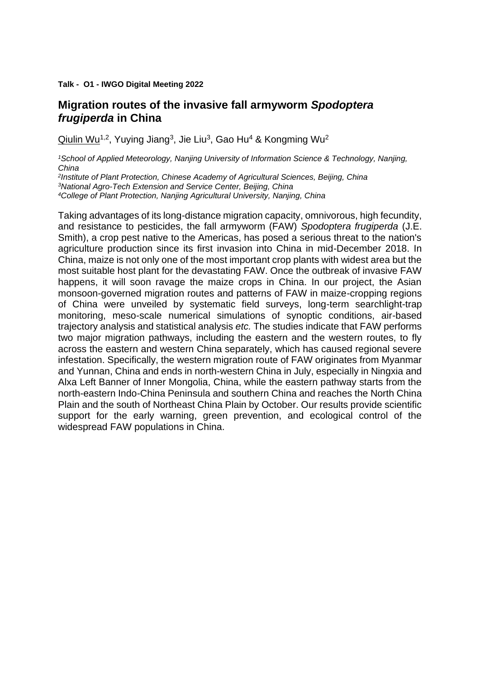#### **Talk - O1 - IWGO Digital Meeting 2022**

#### **Migration routes of the invasive fall armyworm** *Spodoptera frugiperda* **in China**

Qiulin Wu<sup>1,2</sup>, Yuying Jiang<sup>3</sup>, Jie Liu<sup>3</sup>, Gao Hu<sup>4</sup> & Kongming Wu<sup>2</sup>

*<sup>1</sup>School of Applied Meteorology, Nanjing University of Information Science & Technology, Nanjing, China*

*2 Institute of Plant Protection, Chinese Academy of Agricultural Sciences, Beijing, China <sup>3</sup>National Agro-Tech Extension and Service Center, Beijing, China <sup>4</sup>College of Plant Protection, Nanjing Agricultural University, Nanjing, China*

Taking advantages of its long-distance migration capacity, omnivorous, high fecundity, and resistance to pesticides, the fall armyworm (FAW) *Spodoptera frugiperda* (J.E. Smith), a crop pest native to the Americas, has posed a serious threat to the nation's agriculture production since its first invasion into China in mid-December 2018. In China, maize is not only one of the most important crop plants with widest area but the most suitable host plant for the devastating FAW. Once the outbreak of invasive FAW happens, it will soon ravage the maize crops in China. In our project, the Asian monsoon-governed migration routes and patterns of FAW in maize-cropping regions of China were unveiled by systematic field surveys, long-term searchlight-trap monitoring, meso-scale numerical simulations of synoptic conditions, air-based trajectory analysis and statistical analysis *etc.* The studies indicate that FAW performs two major migration pathways, including the eastern and the western routes, to fly across the eastern and western China separately, which has caused regional severe infestation. Specifically, the western migration route of FAW originates from Myanmar and Yunnan, China and ends in north-western China in July, especially in Ningxia and Alxa Left Banner of Inner Mongolia, China, while the eastern pathway starts from the north-eastern Indo-China Peninsula and southern China and reaches the North China Plain and the south of Northeast China Plain by October. Our results provide scientific support for the early warning, green prevention, and ecological control of the widespread FAW populations in China.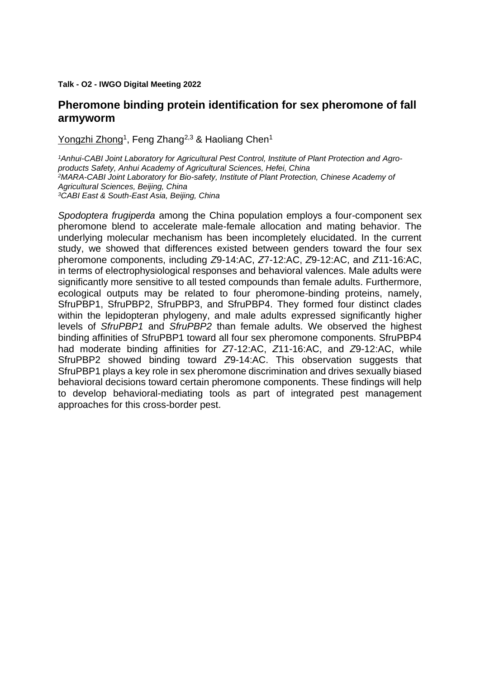**Talk - O2 - IWGO Digital Meeting 2022**

#### **Pheromone binding protein identification for sex pheromone of fall armyworm**

Yongzhi Zhong<sup>1</sup>, Feng Zhang<sup>2,3</sup> & Haoliang Chen<sup>1</sup>

*1Anhui-CABI Joint Laboratory for Agricultural Pest Control, Institute of Plant Protection and Agroproducts Safety, Anhui Academy of Agricultural Sciences, Hefei, China <sup>2</sup>MARA-CABI Joint Laboratory for Bio-safety, Institute of Plant Protection, Chinese Academy of Agricultural Sciences, Beijing, China <sup>3</sup>CABI East & South-East Asia, Beijing, China*

*Spodoptera frugiperda* among the China population employs a four-component sex pheromone blend to accelerate male-female allocation and mating behavior. The underlying molecular mechanism has been incompletely elucidated. In the current study, we showed that differences existed between genders toward the four sex pheromone components, including *Z*9-14:AC, *Z*7-12:AC, *Z*9-12:AC, and *Z*11-16:AC, in terms of electrophysiological responses and behavioral valences. Male adults were significantly more sensitive to all tested compounds than female adults. Furthermore, ecological outputs may be related to four pheromone-binding proteins, namely, SfruPBP1, SfruPBP2, SfruPBP3, and SfruPBP4. They formed four distinct clades within the lepidopteran phylogeny, and male adults expressed significantly higher levels of *SfruPBP1* and *SfruPBP2* than female adults. We observed the highest binding affinities of SfruPBP1 toward all four sex pheromone components. SfruPBP4 had moderate binding affinities for *Z*7-12:AC, *Z*11-16:AC, and *Z*9-12:AC, while SfruPBP2 showed binding toward *Z*9-14:AC. This observation suggests that SfruPBP1 plays a key role in sex pheromone discrimination and drives sexually biased behavioral decisions toward certain pheromone components. These findings will help to develop behavioral-mediating tools as part of integrated pest management approaches for this cross-border pest.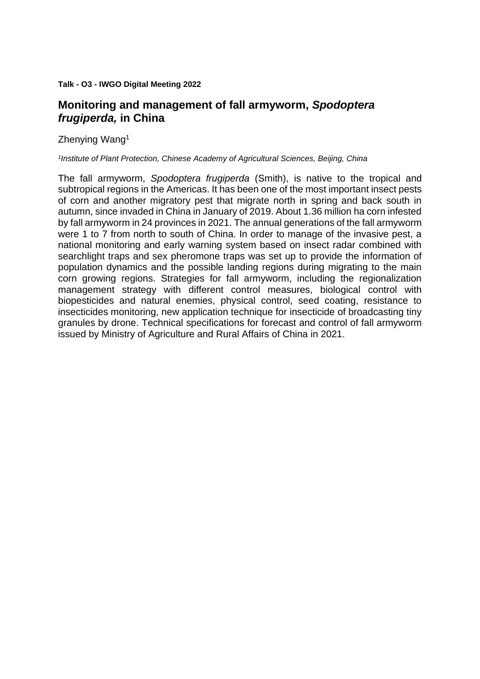#### **Talk - O3 - IWGO Digital Meeting 2022**

# **Monitoring and management of fall armyworm,** *Spodoptera frugiperda,* **in China**

Zhenying Wang<sup>1</sup>

#### *1 Institute of Plant Protection, Chinese Academy of Agricultural Sciences, Beijing, China*

The fall armyworm, *Spodoptera frugiperda* (Smith), is native to the tropical and subtropical regions in the Americas. It has been one of the most important insect pests of corn and another migratory pest that migrate north in spring and back south in autumn, since invaded in China in January of 2019. About 1.36 million ha corn infested by fall armyworm in 24 provinces in 2021. The annual generations of the fall armyworm were 1 to 7 from north to south of China. In order to manage of the invasive pest, a national monitoring and early warning system based on insect radar combined with searchlight traps and sex pheromone traps was set up to provide the information of population dynamics and the possible landing regions during migrating to the main corn growing regions. Strategies for fall armyworm, including the regionalization management strategy with different control measures, biological control with biopesticides and natural enemies, physical control, seed coating, resistance to insecticides monitoring, new application technique for insecticide of broadcasting tiny granules by drone. Technical specifications for forecast and control of fall armyworm issued by Ministry of Agriculture and Rural Affairs of China in 2021.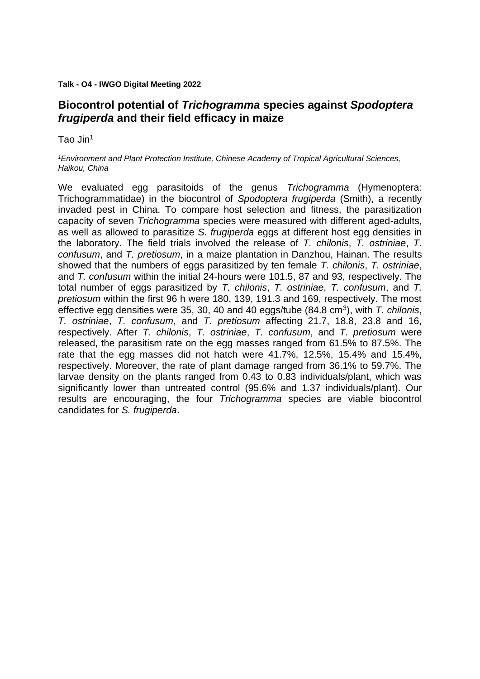#### **Talk - O4 - IWGO Digital Meeting 2022**

# **Biocontrol potential of** *Trichogramma* **species against** *Spodoptera frugiperda* **and their field efficacy in maize**

Tao Jin<sup>1</sup>

*<sup>1</sup>Environment and Plant Protection Institute, Chinese Academy of Tropical Agricultural Sciences, Haikou, China*

We evaluated egg parasitoids of the genus *Trichogramma* (Hymenoptera: Trichogrammatidae) in the biocontrol of *Spodoptera frugiperda* (Smith), a recently invaded pest in China. To compare host selection and fitness, the parasitization capacity of seven *Trichogramma* species were measured with different aged-adults, as well as allowed to parasitize *S. frugiperda* eggs at different host egg densities in the laboratory. The field trials involved the release of *T. chilonis*, *T. ostriniae*, *T. confusum*, and *T. pretiosum*, in a maize plantation in Danzhou, Hainan. The results showed that the numbers of eggs parasitized by ten female *T. chilonis*, *T. ostriniae*, and *T. confusum* within the initial 24-hours were 101.5, 87 and 93, respectively. The total number of eggs parasitized by *T. chilonis*, *T. ostriniae*, *T. confusum*, and *T. pretiosum* within the first 96 h were 180, 139, 191.3 and 169, respectively. The most effective egg densities were 35, 30, 40 and 40 eggs/tube (84.8 cm<sup>3</sup>), with *T. chilonis*, *T. ostriniae*, *T. confusum*, and *T. pretiosum* affecting 21.7, 18.8, 23.8 and 16, respectively. After *T. chilonis*, *T. ostriniae*, *T. confusum*, and *T. pretiosum* were released, the parasitism rate on the egg masses ranged from 61.5% to 87.5%. The rate that the egg masses did not hatch were 41.7%, 12.5%, 15.4% and 15.4%, respectively. Moreover, the rate of plant damage ranged from 36.1% to 59.7%. The larvae density on the plants ranged from 0.43 to 0.83 individuals/plant, which was significantly lower than untreated control (95.6% and 1.37 individuals/plant). Our results are encouraging, the four *Trichogramma* species are viable biocontrol candidates for *S. frugiperda*.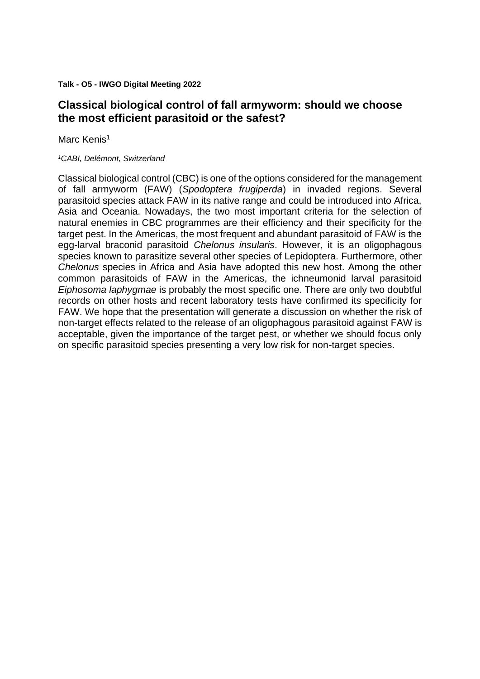**Talk - O5 - IWGO Digital Meeting 2022**

# **Classical biological control of fall armyworm: should we choose the most efficient parasitoid or the safest?**

Marc Kenis<sup>1</sup>

#### *<sup>1</sup>CABI, Delémont, Switzerland*

Classical biological control (CBC) is one of the options considered for the management of fall armyworm (FAW) (*Spodoptera frugiperda*) in invaded regions. Several parasitoid species attack FAW in its native range and could be introduced into Africa, Asia and Oceania. Nowadays, the two most important criteria for the selection of natural enemies in CBC programmes are their efficiency and their specificity for the target pest. In the Americas, the most frequent and abundant parasitoid of FAW is the egg-larval braconid parasitoid *Chelonus insularis*. However, it is an oligophagous species known to parasitize several other species of Lepidoptera. Furthermore, other *Chelonus* species in Africa and Asia have adopted this new host. Among the other common parasitoids of FAW in the Americas, the ichneumonid larval parasitoid *Eiphosoma laphygmae* is probably the most specific one. There are only two doubtful records on other hosts and recent laboratory tests have confirmed its specificity for FAW. We hope that the presentation will generate a discussion on whether the risk of non-target effects related to the release of an oligophagous parasitoid against FAW is acceptable, given the importance of the target pest, or whether we should focus only on specific parasitoid species presenting a very low risk for non-target species.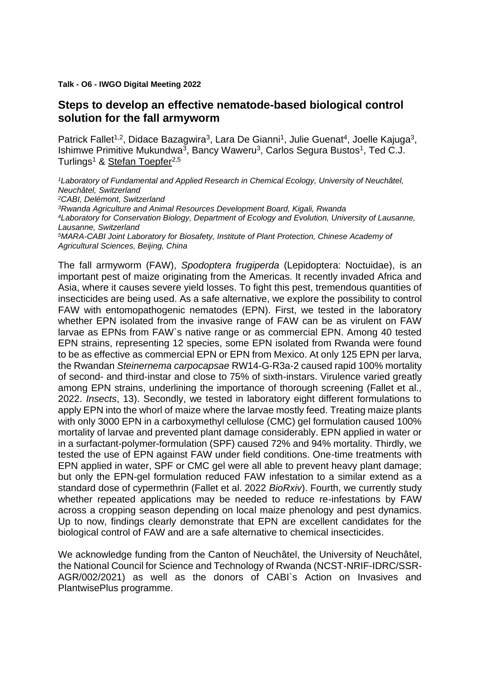**Talk - O6 - IWGO Digital Meeting 2022**

#### **Steps to develop an effective nematode-based biological control solution for the fall armyworm**

Patrick Fallet<sup>1,2</sup>, Didace Bazagwira<sup>3</sup>, Lara De Gianni<sup>1</sup>, Julie Guenat<sup>4</sup>, Joelle Kajuga<sup>3</sup>, Ishimwe Primitive Mukundwa<sup>3</sup>, Bancy Waweru<sup>3</sup>, Carlos Segura Bustos<sup>1</sup>, Ted C.J. Turlings<sup>1</sup> & Stefan Toepfer<sup>2,5</sup>

*Laboratory of Fundamental and Applied Research in Chemical Ecology, University of Neuchâtel, Neuchâtel, Switzerland CABI, Delémont, Switzerland Rwanda Agriculture and Animal Resources Development Board, Kigali, Rwanda Laboratory for Conservation Biology, Department of Ecology and Evolution, University of Lausanne, Lausanne, Switzerland MARA-CABI Joint Laboratory for Biosafety, Institute of Plant Protection, Chinese Academy of Agricultural Sciences, Beijing, China*

The fall armyworm (FAW), *Spodoptera frugiperda* (Lepidoptera: Noctuidae), is an important pest of maize originating from the Americas. It recently invaded Africa and Asia, where it causes severe yield losses. To fight this pest, tremendous quantities of insecticides are being used. As a safe alternative, we explore the possibility to control FAW with entomopathogenic nematodes (EPN). First, we tested in the laboratory whether EPN isolated from the invasive range of FAW can be as virulent on FAW larvae as EPNs from FAW`s native range or as commercial EPN. Among 40 tested EPN strains, representing 12 species, some EPN isolated from Rwanda were found to be as effective as commercial EPN or EPN from Mexico. At only 125 EPN per larva, the Rwandan *Steinernema carpocapsae* RW14-G-R3a-2 caused rapid 100% mortality of second- and third-instar and close to 75% of sixth-instars. Virulence varied greatly among EPN strains, underlining the importance of thorough screening (Fallet et al., 2022. *Insects*, 13). Secondly, we tested in laboratory eight different formulations to apply EPN into the whorl of maize where the larvae mostly feed. Treating maize plants with only 3000 EPN in a carboxymethyl cellulose (CMC) gel formulation caused 100% mortality of larvae and prevented plant damage considerably. EPN applied in water or in a surfactant-polymer-formulation (SPF) caused 72% and 94% mortality. Thirdly, we tested the use of EPN against FAW under field conditions. One-time treatments with EPN applied in water, SPF or CMC gel were all able to prevent heavy plant damage; but only the EPN-gel formulation reduced FAW infestation to a similar extend as a standard dose of cypermethrin (Fallet et al. 2022 *BioRxiv*). Fourth, we currently study whether repeated applications may be needed to reduce re-infestations by FAW across a cropping season depending on local maize phenology and pest dynamics. Up to now, findings clearly demonstrate that EPN are excellent candidates for the biological control of FAW and are a safe alternative to chemical insecticides.

We acknowledge funding from the Canton of Neuchâtel, the University of Neuchâtel, the National Council for Science and Technology of Rwanda (NCST-NRIF-IDRC/SSR-AGR/002/2021) as well as the donors of CABI`s Action on Invasives and PlantwisePlus programme.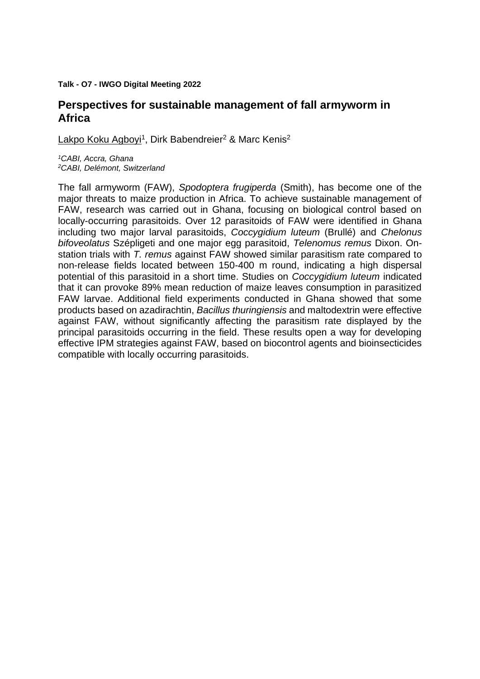#### **Talk - O7 - IWGO Digital Meeting 2022**

#### **Perspectives for sustainable management of fall armyworm in Africa**

Lakpo Koku Agboyi<sup>1</sup>, Dirk Babendreier<sup>2</sup> & Marc Kenis<sup>2</sup>

*<sup>1</sup>CABI, Accra, Ghana <sup>2</sup>CABI, Delémont, Switzerland*

The fall armyworm (FAW), *Spodoptera frugiperda* (Smith), has become one of the major threats to maize production in Africa. To achieve sustainable management of FAW, research was carried out in Ghana, focusing on biological control based on locally-occurring parasitoids. Over 12 parasitoids of FAW were identified in Ghana including two major larval parasitoids, *Coccygidium luteum* (Brullé) and *Chelonus bifoveolatus* Szépligeti and one major egg parasitoid, *Telenomus remus* Dixon. Onstation trials with *T. remus* against FAW showed similar parasitism rate compared to non-release fields located between 150-400 m round, indicating a high dispersal potential of this parasitoid in a short time. Studies on *Coccygidium luteum* indicated that it can provoke 89% mean reduction of maize leaves consumption in parasitized FAW larvae. Additional field experiments conducted in Ghana showed that some products based on azadirachtin, *Bacillus thuringiensis* and maltodextrin were effective against FAW, without significantly affecting the parasitism rate displayed by the principal parasitoids occurring in the field. These results open a way for developing effective IPM strategies against FAW, based on biocontrol agents and bioinsecticides compatible with locally occurring parasitoids.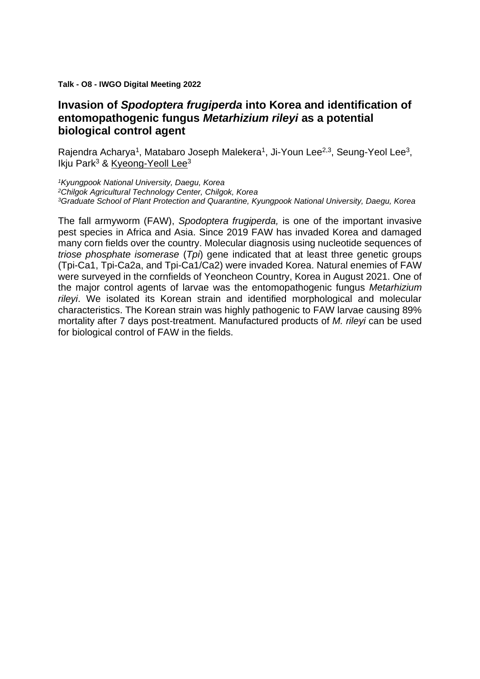**Talk - O8 - IWGO Digital Meeting 2022**

# **Invasion of** *Spodoptera frugiperda* **into Korea and identification of entomopathogenic fungus** *Metarhizium rileyi* **as a potential biological control agent**

Rajendra Acharya<sup>1</sup>, Matabaro Joseph Malekera<sup>1</sup>, Ji-Youn Lee<sup>2,3</sup>, Seung-Yeol Lee<sup>3</sup>, Ikju Park $3$  & Kyeong-Yeoll Lee $3$ 

*<sup>1</sup>Kyungpook National University, Daegu, Korea <sup>2</sup>Chilgok Agricultural Technology Center, Chilgok, Korea <sup>3</sup>Graduate School of Plant Protection and Quarantine, Kyungpook National University, Daegu, Korea*

The fall armyworm (FAW), *Spodoptera frugiperda,* is one of the important invasive pest species in Africa and Asia. Since 2019 FAW has invaded Korea and damaged many corn fields over the country. Molecular diagnosis using nucleotide sequences of *triose phosphate isomerase* (*Tpi*) gene indicated that at least three genetic groups (Tpi-Ca1, Tpi-Ca2a, and Tpi-Ca1/Ca2) were invaded Korea. Natural enemies of FAW were surveyed in the cornfields of Yeoncheon Country, Korea in August 2021. One of the major control agents of larvae was the entomopathogenic fungus *Metarhizium rileyi*. We isolated its Korean strain and identified morphological and molecular characteristics. The Korean strain was highly pathogenic to FAW larvae causing 89% mortality after 7 days post-treatment. Manufactured products of *M. rileyi* can be used for biological control of FAW in the fields.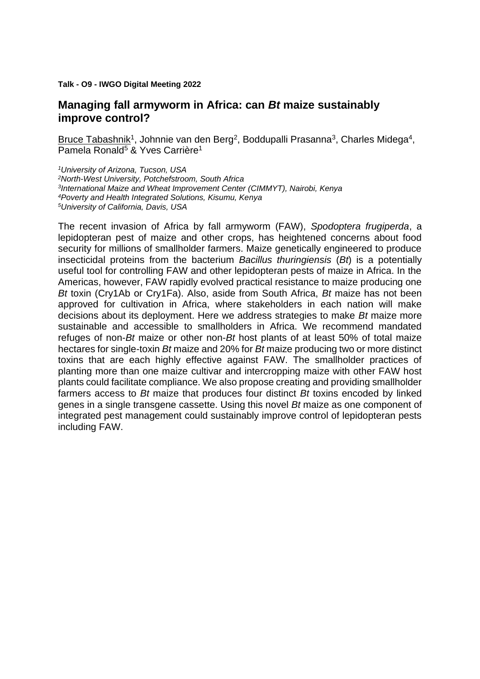#### **Talk - O9 - IWGO Digital Meeting 2022**

#### **Managing fall armyworm in Africa: can** *Bt* **maize sustainably improve control?**

Bruce Tabashnik<sup>1</sup>, Johnnie van den Berg<sup>2</sup>, Boddupalli Prasanna<sup>3</sup>, Charles Midega<sup>4</sup>, Pamela Ronald<sup>5</sup> & Yves Carrière<sup>1</sup>

*University of Arizona, Tucson, USA North-West University, Potchefstroom, South Africa International Maize and Wheat Improvement Center (CIMMYT), Nairobi, Kenya Poverty and Health Integrated Solutions, Kisumu, Kenya University of California, Davis, USA*

The recent invasion of Africa by fall armyworm (FAW), *Spodoptera frugiperda*, a lepidopteran pest of maize and other crops, has heightened concerns about food security for millions of smallholder farmers. Maize genetically engineered to produce insecticidal proteins from the bacterium *Bacillus thuringiensis* (*Bt*) is a potentially useful tool for controlling FAW and other lepidopteran pests of maize in Africa. In the Americas, however, FAW rapidly evolved practical resistance to maize producing one *Bt* toxin (Cry1Ab or Cry1Fa). Also, aside from South Africa, *Bt* maize has not been approved for cultivation in Africa, where stakeholders in each nation will make decisions about its deployment. Here we address strategies to make *Bt* maize more sustainable and accessible to smallholders in Africa. We recommend mandated refuges of non-*Bt* maize or other non-*Bt* host plants of at least 50% of total maize hectares for single-toxin *Bt* maize and 20% for *Bt* maize producing two or more distinct toxins that are each highly effective against FAW. The smallholder practices of planting more than one maize cultivar and intercropping maize with other FAW host plants could facilitate compliance. We also propose creating and providing smallholder farmers access to *Bt* maize that produces four distinct *Bt* toxins encoded by linked genes in a single transgene cassette. Using this novel *Bt* maize as one component of integrated pest management could sustainably improve control of lepidopteran pests including FAW.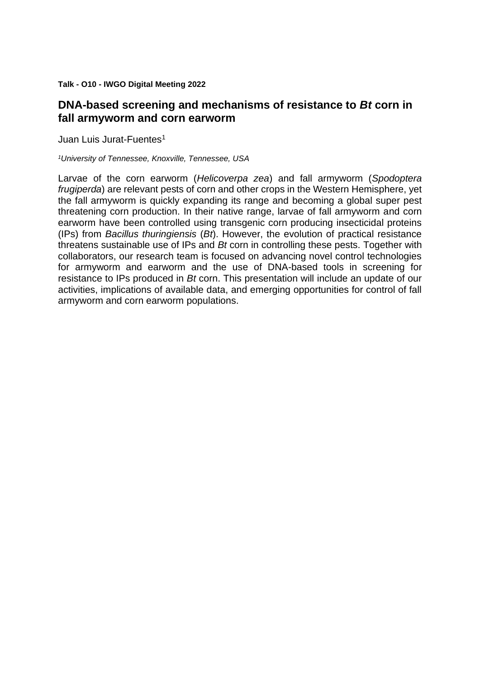**Talk - O10 - IWGO Digital Meeting 2022**

# **DNA-based screening and mechanisms of resistance to** *Bt* **corn in fall armyworm and corn earworm**

Juan Luis Jurat-Fuentes<sup>1</sup>

*<sup>1</sup>University of Tennessee, Knoxville, Tennessee, USA*

Larvae of the corn earworm (*Helicoverpa zea*) and fall armyworm (*Spodoptera frugiperda*) are relevant pests of corn and other crops in the Western Hemisphere, yet the fall armyworm is quickly expanding its range and becoming a global super pest threatening corn production. In their native range, larvae of fall armyworm and corn earworm have been controlled using transgenic corn producing insecticidal proteins (IPs) from *Bacillus thuringiensis* (*Bt*). However, the evolution of practical resistance threatens sustainable use of IPs and *Bt* corn in controlling these pests. Together with collaborators, our research team is focused on advancing novel control technologies for armyworm and earworm and the use of DNA-based tools in screening for resistance to IPs produced in *Bt* corn. This presentation will include an update of our activities, implications of available data, and emerging opportunities for control of fall armyworm and corn earworm populations.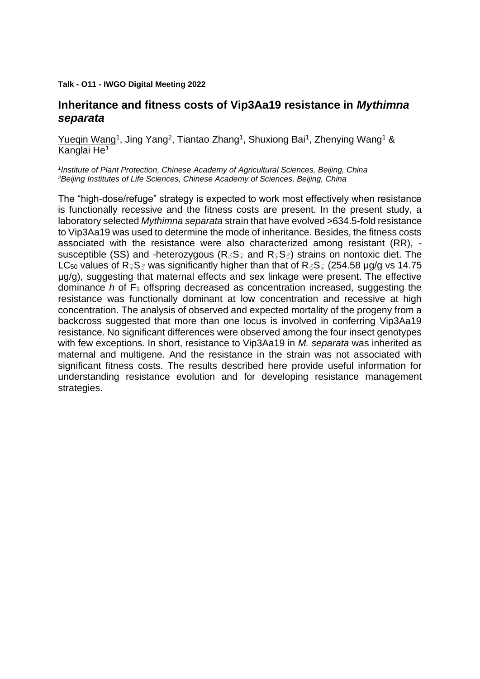#### **Talk - O11 - IWGO Digital Meeting 2022**

## **Inheritance and fitness costs of Vip3Aa19 resistance in** *Mythimna separata*

Yuegin Wang<sup>1</sup>, Jing Yang<sup>2</sup>, Tiantao Zhang<sup>1</sup>, Shuxiong Bai<sup>1</sup>, Zhenying Wang<sup>1</sup> & Kanglai He<sup>1</sup>

*1 Institute of Plant Protection, Chinese Academy of Agricultural Sciences, Beijing, China <sup>2</sup>Beijing Institutes of Life Sciences, Chinese Academy of Sciences, Beijing, China*

The "high-dose/refuge" strategy is expected to work most effectively when resistance is functionally recessive and the fitness costs are present. In the present study, a laboratory selected *Mythimna separata* strain that have evolved >634.5-fold resistance to Vip3Aa19 was used to determine the mode of inheritance. Besides, the fitness costs associated with the resistance were also characterized among resistant (RR), susceptible (SS) and -heterozygous ( $R_{\beta}S_{\varphi}$  and  $R_{\varphi}S_{\beta}$ ) strains on nontoxic diet. The LC<sub>50</sub> values of R♀S<sub></sub> was significantly higher than that of R 3S ° (254.58 µg/g vs 14.75 μg/g), suggesting that maternal effects and sex linkage were present. The effective dominance *h* of F<sup>1</sup> offspring decreased as concentration increased, suggesting the resistance was functionally dominant at low concentration and recessive at high concentration. The analysis of observed and expected mortality of the progeny from a backcross suggested that more than one locus is involved in conferring Vip3Aa19 resistance. No significant differences were observed among the four insect genotypes with few exceptions. In short, resistance to Vip3Aa19 in *M. separata* was inherited as maternal and multigene. And the resistance in the strain was not associated with significant fitness costs. The results described here provide useful information for understanding resistance evolution and for developing resistance management strategies.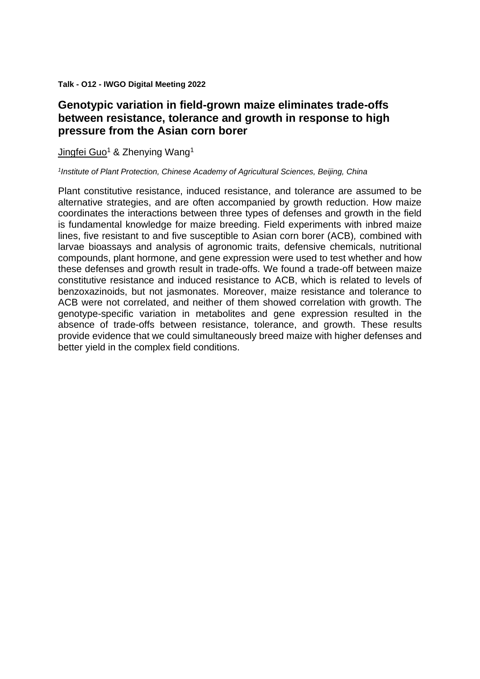**Talk - O12 - IWGO Digital Meeting 2022**

# **Genotypic variation in field-grown maize eliminates trade-offs between resistance, tolerance and growth in response to high pressure from the Asian corn borer**

Jingfei Guo<sup>1</sup> & Zhenying Wang<sup>1</sup>

#### *1 Institute of Plant Protection, Chinese Academy of Agricultural Sciences, Beijing, China*

Plant constitutive resistance, induced resistance, and tolerance are assumed to be alternative strategies, and are often accompanied by growth reduction. How maize coordinates the interactions between three types of defenses and growth in the field is fundamental knowledge for maize breeding. Field experiments with inbred maize lines, five resistant to and five susceptible to Asian corn borer (ACB)*,* combined with larvae bioassays and analysis of agronomic traits, defensive chemicals, nutritional compounds, plant hormone, and gene expression were used to test whether and how these defenses and growth result in trade-offs. We found a trade-off between maize constitutive resistance and induced resistance to ACB, which is related to levels of benzoxazinoids, but not jasmonates. Moreover, maize resistance and tolerance to ACB were not correlated, and neither of them showed correlation with growth. The genotype-specific variation in metabolites and gene expression resulted in the absence of trade-offs between resistance, tolerance, and growth. These results provide evidence that we could simultaneously breed maize with higher defenses and better yield in the complex field conditions.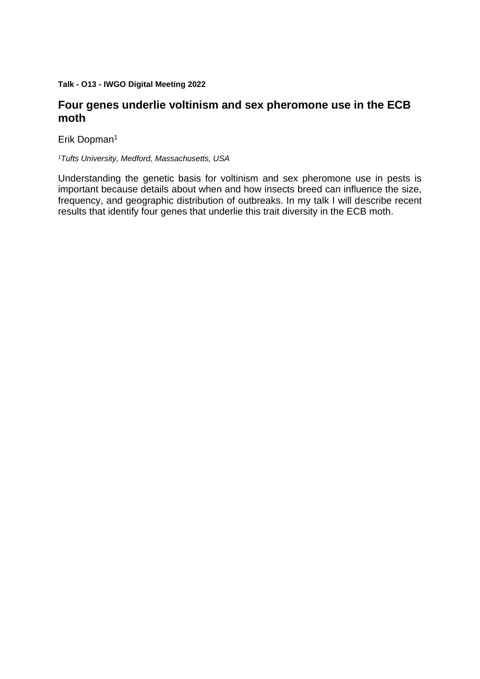**Talk - O13 - IWGO Digital Meeting 2022**

#### **Four genes underlie voltinism and sex pheromone use in the ECB moth**

Erik Dopman<sup>1</sup>

*<sup>1</sup>Tufts University, Medford, Massachusetts, USA*

Understanding the genetic basis for voltinism and sex pheromone use in pests is important because details about when and how insects breed can influence the size, frequency, and geographic distribution of outbreaks. In my talk I will describe recent results that identify four genes that underlie this trait diversity in the ECB moth.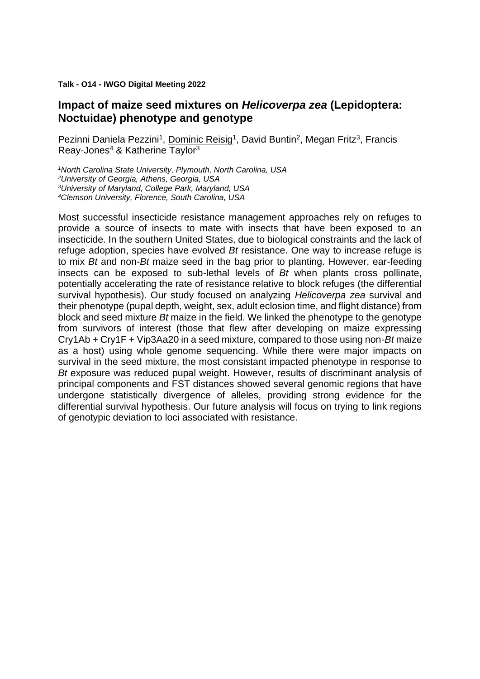#### **Talk - O14 - IWGO Digital Meeting 2022**

#### **Impact of maize seed mixtures on** *Helicoverpa zea* **(Lepidoptera: Noctuidae) phenotype and genotype**

Pezinni Daniela Pezzini<sup>1</sup>, Dominic Reisig<sup>1</sup>, David Buntin<sup>2</sup>, Megan Fritz<sup>3</sup>, Francis Reay-Jones<sup>4</sup> & Katherine Taylor<sup>3</sup>

*North Carolina State University, Plymouth, North Carolina, USA University of Georgia, Athens, Georgia, USA University of Maryland, College Park, Maryland, USA Clemson University, Florence, South Carolina, USA*

Most successful insecticide resistance management approaches rely on refuges to provide a source of insects to mate with insects that have been exposed to an insecticide. In the southern United States, due to biological constraints and the lack of refuge adoption, species have evolved *Bt* resistance. One way to increase refuge is to mix *Bt* and non-*Bt* maize seed in the bag prior to planting. However, ear-feeding insects can be exposed to sub-lethal levels of *Bt* when plants cross pollinate, potentially accelerating the rate of resistance relative to block refuges (the differential survival hypothesis). Our study focused on analyzing *Helicoverpa zea* survival and their phenotype (pupal depth, weight, sex, adult eclosion time, and flight distance) from block and seed mixture *Bt* maize in the field. We linked the phenotype to the genotype from survivors of interest (those that flew after developing on maize expressing Cry1Ab + Cry1F + Vip3Aa20 in a seed mixture, compared to those using non-*Bt* maize as a host) using whole genome sequencing. While there were major impacts on survival in the seed mixture, the most consistant impacted phenotype in response to *Bt* exposure was reduced pupal weight. However, results of discriminant analysis of principal components and FST distances showed several genomic regions that have undergone statistically divergence of alleles, providing strong evidence for the differential survival hypothesis. Our future analysis will focus on trying to link regions of genotypic deviation to loci associated with resistance.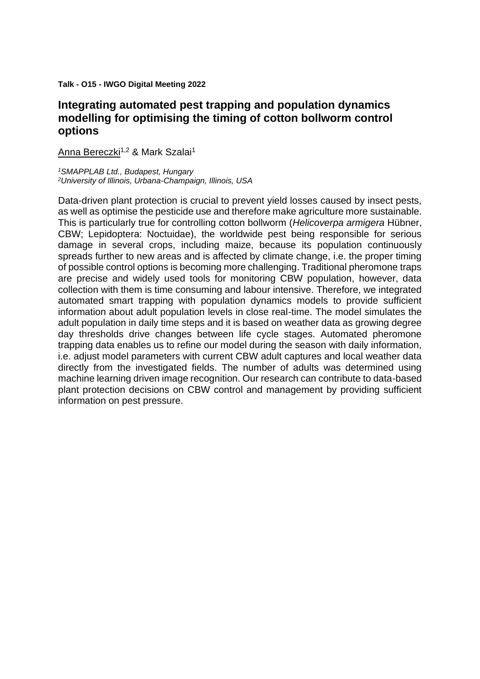**Talk - O15 - IWGO Digital Meeting 2022**

# **Integrating automated pest trapping and population dynamics modelling for optimising the timing of cotton bollworm control options**

Anna Bereczki<sup>1,2</sup> & Mark Szalai<sup>1</sup>

*<sup>1</sup>SMAPPLAB Ltd., Budapest, Hungary <sup>2</sup>University of Illinois, Urbana-Champaign, Illinois, USA*

Data-driven plant protection is crucial to prevent yield losses caused by insect pests, as well as optimise the pesticide use and therefore make agriculture more sustainable. This is particularly true for controlling cotton bollworm (*Helicoverpa armigera* Hübner, CBW; Lepidoptera: Noctuidae), the worldwide pest being responsible for serious damage in several crops, including maize, because its population continuously spreads further to new areas and is affected by climate change, i.e. the proper timing of possible control options is becoming more challenging. Traditional pheromone traps are precise and widely used tools for monitoring CBW population, however, data collection with them is time consuming and labour intensive. Therefore, we integrated automated smart trapping with population dynamics models to provide sufficient information about adult population levels in close real-time. The model simulates the adult population in daily time steps and it is based on weather data as growing degree day thresholds drive changes between life cycle stages. Automated pheromone trapping data enables us to refine our model during the season with daily information, i.e. adjust model parameters with current CBW adult captures and local weather data directly from the investigated fields. The number of adults was determined using machine learning driven image recognition. Our research can contribute to data-based plant protection decisions on CBW control and management by providing sufficient information on pest pressure.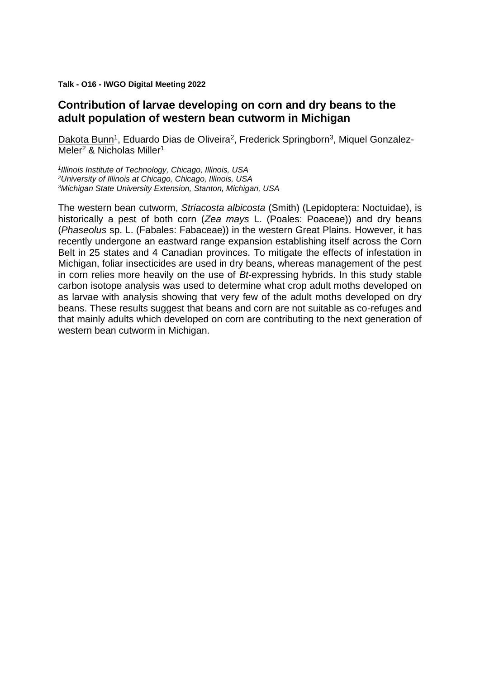**Talk - O16 - IWGO Digital Meeting 2022**

# **Contribution of larvae developing on corn and dry beans to the adult population of western bean cutworm in Michigan**

Dakota Bunn<sup>1</sup>, Eduardo Dias de Oliveira<sup>2</sup>, Frederick Springborn<sup>3</sup>, Miquel Gonzalez-Meler<sup>2</sup> & Nicholas Miller<sup>1</sup>

*1 Illinois Institute of Technology, Chicago, Illinois, USA <sup>2</sup>University of Illinois at Chicago, Chicago, Illinois, USA <sup>3</sup>Michigan State University Extension, Stanton, Michigan, USA*

The western bean cutworm, *Striacosta albicosta* (Smith) (Lepidoptera: Noctuidae), is historically a pest of both corn (*Zea mays* L. (Poales: Poaceae)) and dry beans (*Phaseolus* sp. L. (Fabales: Fabaceae)) in the western Great Plains. However, it has recently undergone an eastward range expansion establishing itself across the Corn Belt in 25 states and 4 Canadian provinces. To mitigate the effects of infestation in Michigan, foliar insecticides are used in dry beans, whereas management of the pest in corn relies more heavily on the use of *Bt*-expressing hybrids. In this study stable carbon isotope analysis was used to determine what crop adult moths developed on as larvae with analysis showing that very few of the adult moths developed on dry beans. These results suggest that beans and corn are not suitable as co-refuges and that mainly adults which developed on corn are contributing to the next generation of western bean cutworm in Michigan.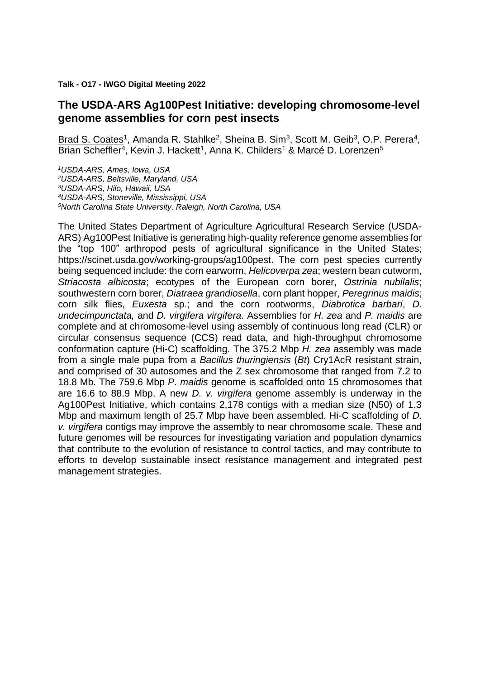**Talk - O17 - IWGO Digital Meeting 2022**

#### **The USDA-ARS Ag100Pest Initiative: developing chromosome-level genome assemblies for corn pest insects**

Brad S. Coates<sup>1</sup>, Amanda R. Stahlke<sup>2</sup>, Sheina B. Sim<sup>3</sup>, Scott M. Geib<sup>3</sup>, O.P. Perera<sup>4</sup>, Brian Scheffler<sup>4</sup>, Kevin J. Hackett<sup>1</sup>, Anna K. Childers<sup>1</sup> & Marcé D. Lorenzen<sup>5</sup>

*USDA-ARS, Ames, Iowa, USA USDA-ARS, Beltsville, Maryland, USA USDA-ARS, Hilo, Hawaii, USA USDA-ARS, Stoneville, Mississippi, USA North Carolina State University, Raleigh, North Carolina, USA*

The United States Department of Agriculture Agricultural Research Service (USDA-ARS) Ag100Pest Initiative is generating high-quality reference genome assemblies for the "top 100" arthropod pests of agricultural significance in the United States; https://scinet.usda.gov/working-groups/ag100pest. The corn pest species currently being sequenced include: the corn earworm, *Helicoverpa zea*; western bean cutworm, *Striacosta albicosta*; ecotypes of the European corn borer, *Ostrinia nubilalis*; southwestern corn borer, *Diatraea grandiosella*, corn plant hopper, *Peregrinus maidis*; corn silk flies, *Euxesta* sp.; and the corn rootworms, *Diabrotica barbari*, *D. undecimpunctata,* and *D. virgifera virgifera*. Assemblies for *H. zea* and *P. maidis* are complete and at chromosome-level using assembly of continuous long read (CLR) or circular consensus sequence (CCS) read data, and high-throughput chromosome conformation capture (Hi-C) scaffolding. The 375.2 Mbp *H. zea* assembly was made from a single male pupa from a *Bacillus thuringiensis* (*Bt*) Cry1AcR resistant strain, and comprised of 30 autosomes and the Z sex chromosome that ranged from 7.2 to 18.8 Mb. The 759.6 Mbp *P. maidis* genome is scaffolded onto 15 chromosomes that are 16.6 to 88.9 Mbp. A new *D. v. virgifera* genome assembly is underway in the Ag100Pest Initiative, which contains 2,178 contigs with a median size (N50) of 1.3 Mbp and maximum length of 25.7 Mbp have been assembled. Hi-C scaffolding of *D. v. virgifera* contigs may improve the assembly to near chromosome scale. These and future genomes will be resources for investigating variation and population dynamics that contribute to the evolution of resistance to control tactics, and may contribute to efforts to develop sustainable insect resistance management and integrated pest management strategies.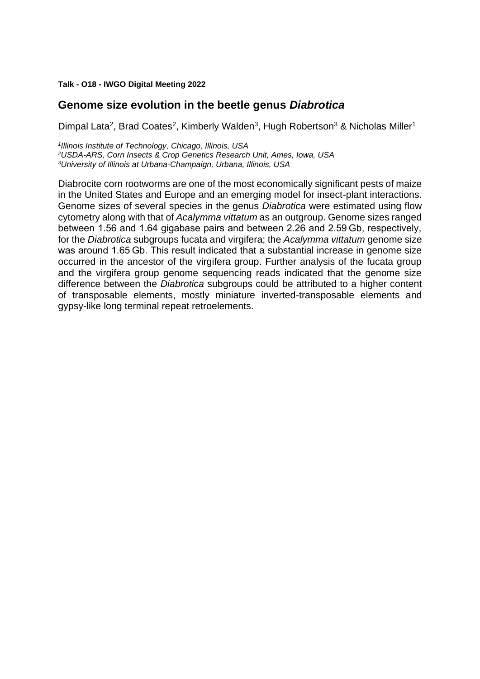**Talk - O18 - IWGO Digital Meeting 2022**

#### **Genome size evolution in the beetle genus** *Diabrotica*

Dimpal Lata<sup>2</sup>, Brad Coates<sup>2</sup>, Kimberly Walden<sup>3</sup>, Hugh Robertson<sup>3</sup> & Nicholas Miller<sup>1</sup>

*1 Illinois Institute of Technology, Chicago, Illinois, USA <sup>2</sup>USDA-ARS, Corn Insects & Crop Genetics Research Unit, Ames, Iowa, USA <sup>3</sup>University of Illinois at Urbana-Champaign, Urbana, Illinois, USA*

Diabrocite corn rootworms are one of the most economically significant pests of maize in the United States and Europe and an emerging model for insect-plant interactions. Genome sizes of several species in the genus *Diabrotica* were estimated using flow cytometry along with that of *Acalymma vittatum* as an outgroup. Genome sizes ranged between 1.56 and 1.64 gigabase pairs and between 2.26 and 2.59 Gb, respectively, for the *Diabrotica* subgroups fucata and virgifera; the *Acalymma vittatum* genome size was around 1.65 Gb. This result indicated that a substantial increase in genome size occurred in the ancestor of the virgifera group. Further analysis of the fucata group and the virgifera group genome sequencing reads indicated that the genome size difference between the *Diabrotica* subgroups could be attributed to a higher content of transposable elements, mostly miniature inverted-transposable elements and gypsy-like long terminal repeat retroelements.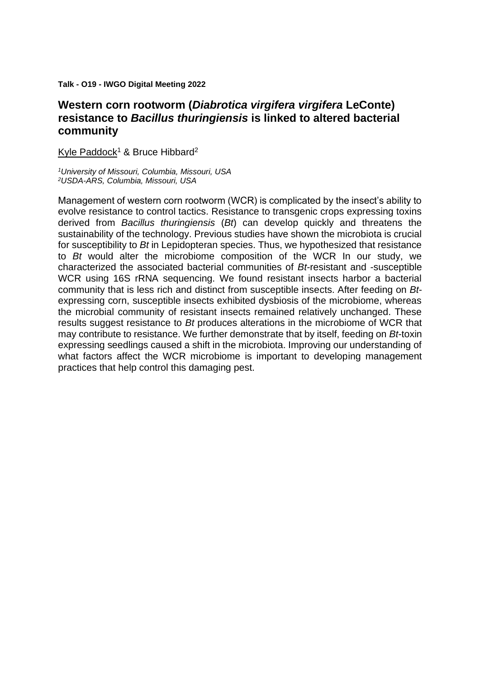**Talk - O19 - IWGO Digital Meeting 2022**

### **Western corn rootworm (***Diabrotica virgifera virgifera* **LeConte) resistance to** *Bacillus thuringiensis* **is linked to altered bacterial community**

Kyle Paddock<sup>1</sup> & Bruce Hibbard<sup>2</sup>

*<sup>1</sup>University of Missouri, Columbia, Missouri, USA <sup>2</sup>USDA-ARS, Columbia, Missouri, USA*

Management of western corn rootworm (WCR) is complicated by the insect's ability to evolve resistance to control tactics. Resistance to transgenic crops expressing toxins derived from *Bacillus thuringiensis* (*Bt*) can develop quickly and threatens the sustainability of the technology. Previous studies have shown the microbiota is crucial for susceptibility to *Bt* in Lepidopteran species. Thus, we hypothesized that resistance to *Bt* would alter the microbiome composition of the WCR In our study, we characterized the associated bacterial communities of *Bt*-resistant and -susceptible WCR using 16S rRNA sequencing. We found resistant insects harbor a bacterial community that is less rich and distinct from susceptible insects. After feeding on *Bt*expressing corn, susceptible insects exhibited dysbiosis of the microbiome, whereas the microbial community of resistant insects remained relatively unchanged. These results suggest resistance to *Bt* produces alterations in the microbiome of WCR that may contribute to resistance. We further demonstrate that by itself, feeding on *Bt*-toxin expressing seedlings caused a shift in the microbiota. Improving our understanding of what factors affect the WCR microbiome is important to developing management practices that help control this damaging pest.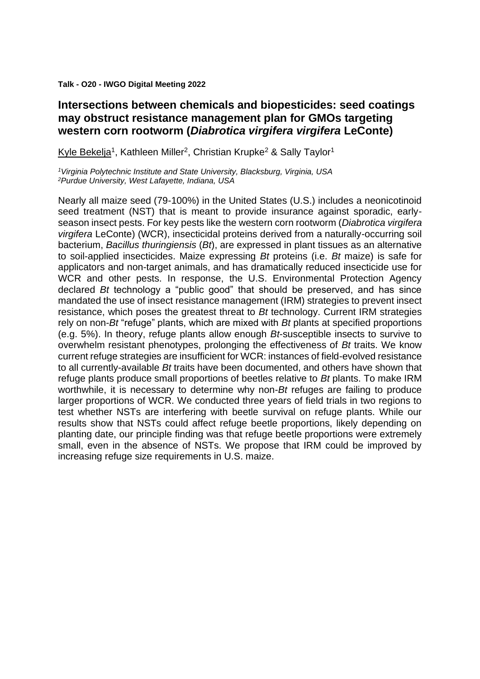**Talk - O20 - IWGO Digital Meeting 2022**

#### **Intersections between chemicals and biopesticides: seed coatings may obstruct resistance management plan for GMOs targeting western corn rootworm (***Diabrotica virgifera virgifera* **LeConte)**

Kyle Bekelja<sup>1</sup>, Kathleen Miller<sup>2</sup>, Christian Krupke<sup>2</sup> & Sally Taylor<sup>1</sup>

*<sup>1</sup>Virginia Polytechnic Institute and State University, Blacksburg, Virginia, USA <sup>2</sup>Purdue University, West Lafayette, Indiana, USA*

Nearly all maize seed (79-100%) in the United States (U.S.) includes a neonicotinoid seed treatment (NST) that is meant to provide insurance against sporadic, earlyseason insect pests. For key pests like the western corn rootworm (*Diabrotica virgifera virgifera* LeConte) (WCR), insecticidal proteins derived from a naturally-occurring soil bacterium, *Bacillus thuringiensis* (*Bt*), are expressed in plant tissues as an alternative to soil-applied insecticides. Maize expressing *Bt* proteins (i.e. *Bt* maize) is safe for applicators and non-target animals, and has dramatically reduced insecticide use for WCR and other pests. In response, the U.S. Environmental Protection Agency declared *Bt* technology a "public good" that should be preserved, and has since mandated the use of insect resistance management (IRM) strategies to prevent insect resistance, which poses the greatest threat to *Bt* technology. Current IRM strategies rely on non-*Bt* "refuge" plants, which are mixed with *Bt* plants at specified proportions (e.g. 5%). In theory, refuge plants allow enough *Bt*-susceptible insects to survive to overwhelm resistant phenotypes, prolonging the effectiveness of *Bt* traits. We know current refuge strategies are insufficient for WCR: instances of field-evolved resistance to all currently-available *Bt* traits have been documented, and others have shown that refuge plants produce small proportions of beetles relative to *Bt* plants. To make IRM worthwhile, it is necessary to determine why non-*Bt* refuges are failing to produce larger proportions of WCR. We conducted three years of field trials in two regions to test whether NSTs are interfering with beetle survival on refuge plants. While our results show that NSTs could affect refuge beetle proportions, likely depending on planting date, our principle finding was that refuge beetle proportions were extremely small, even in the absence of NSTs. We propose that IRM could be improved by increasing refuge size requirements in U.S. maize.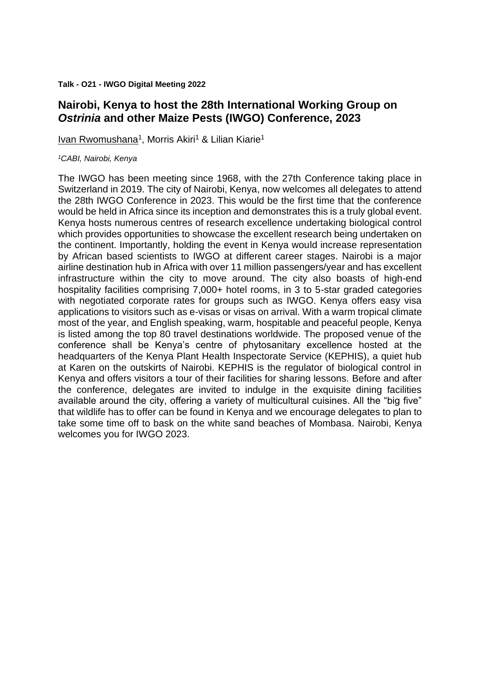**Talk - O21 - IWGO Digital Meeting 2022**

# **Nairobi, Kenya to host the 28th International Working Group on**  *Ostrinia* **and other Maize Pests (IWGO) Conference, 2023**

Ivan Rwomushana<sup>1</sup>, Morris Akiri<sup>1</sup> & Lilian Kiarie<sup>1</sup>

#### *<sup>1</sup>CABI, Nairobi, Kenya*

The IWGO has been meeting since 1968, with the 27th Conference taking place in Switzerland in 2019. The city of Nairobi, Kenya, now welcomes all delegates to attend the 28th IWGO Conference in 2023. This would be the first time that the conference would be held in Africa since its inception and demonstrates this is a truly global event. Kenya hosts numerous centres of research excellence undertaking biological control which provides opportunities to showcase the excellent research being undertaken on the continent. Importantly, holding the event in Kenya would increase representation by African based scientists to IWGO at different career stages. Nairobi is a major airline destination hub in Africa with over 11 million passengers/year and has excellent infrastructure within the city to move around. The city also boasts of high-end hospitality facilities comprising 7,000+ hotel rooms, in 3 to 5-star graded categories with negotiated corporate rates for groups such as IWGO. Kenya offers easy visa applications to visitors such as e-visas or visas on arrival. With a warm tropical climate most of the year, and English speaking, warm, hospitable and peaceful people, Kenya is listed among the top 80 travel destinations worldwide. The proposed venue of the conference shall be Kenya's centre of phytosanitary excellence hosted at the headquarters of the Kenya Plant Health Inspectorate Service (KEPHIS), a quiet hub at Karen on the outskirts of Nairobi. KEPHIS is the regulator of biological control in Kenya and offers visitors a tour of their facilities for sharing lessons. Before and after the conference, delegates are invited to indulge in the exquisite dining facilities available around the city, offering a variety of multicultural cuisines. All the "big five" that wildlife has to offer can be found in Kenya and we encourage delegates to plan to take some time off to bask on the white sand beaches of Mombasa. Nairobi, Kenya welcomes you for IWGO 2023.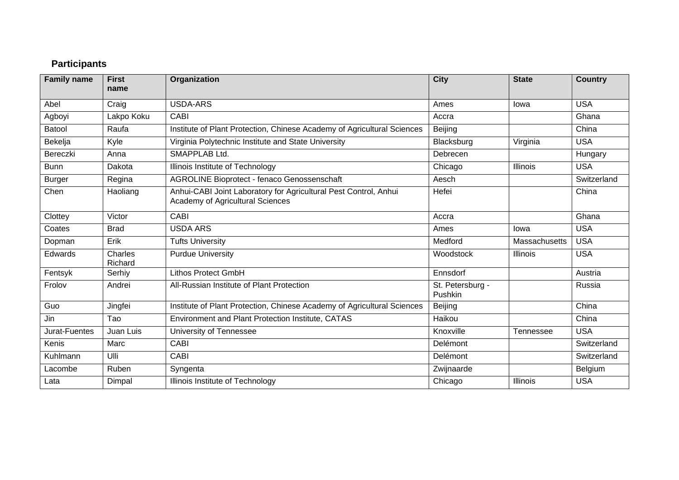# **Participants**

| <b>Family name</b> | <b>First</b><br>name | Organization                                                                                                | <b>City</b>                 | <b>State</b>    | <b>Country</b> |
|--------------------|----------------------|-------------------------------------------------------------------------------------------------------------|-----------------------------|-----------------|----------------|
| Abel               | Craig                | <b>USDA-ARS</b>                                                                                             | Ames                        | lowa            | <b>USA</b>     |
| Agboyi             | Lakpo Koku           | CABI                                                                                                        | Accra                       |                 | Ghana          |
| Batool             | Raufa                | Institute of Plant Protection, Chinese Academy of Agricultural Sciences                                     | Beijing                     |                 | China          |
| Bekelja            | Kyle                 | Virginia Polytechnic Institute and State University                                                         | Blacksburg                  | Virginia        | <b>USA</b>     |
| Bereczki           | Anna                 | SMAPPLAB Ltd.                                                                                               | Debrecen                    |                 | Hungary        |
| <b>Bunn</b>        | Dakota               | Illinois Institute of Technology                                                                            | Chicago                     | <b>Illinois</b> | <b>USA</b>     |
| <b>Burger</b>      | Regina               | <b>AGROLINE Bioprotect - fenaco Genossenschaft</b>                                                          | Aesch                       |                 | Switzerland    |
| Chen               | Haoliang             | Anhui-CABI Joint Laboratory for Agricultural Pest Control, Anhui<br><b>Academy of Agricultural Sciences</b> | Hefei                       |                 | China          |
| Clottey            | Victor               | <b>CABI</b>                                                                                                 | Accra                       |                 | Ghana          |
| Coates             | <b>Brad</b>          | <b>USDA ARS</b>                                                                                             | Ames                        | lowa            | <b>USA</b>     |
| Dopman             | Erik                 | <b>Tufts University</b>                                                                                     | Medford                     | Massachusetts   | <b>USA</b>     |
| Edwards            | Charles<br>Richard   | <b>Purdue University</b>                                                                                    | Woodstock                   | <b>Illinois</b> | <b>USA</b>     |
| Fentsyk            | Serhiy               | <b>Lithos Protect GmbH</b>                                                                                  | Ennsdorf                    |                 | Austria        |
| Frolov             | Andrei               | All-Russian Institute of Plant Protection                                                                   | St. Petersburg -<br>Pushkin |                 | Russia         |
| Guo                | Jingfei              | Institute of Plant Protection, Chinese Academy of Agricultural Sciences                                     | Beijing                     |                 | China          |
| Jin                | Tao                  | Environment and Plant Protection Institute, CATAS                                                           | Haikou                      |                 | China          |
| Jurat-Fuentes      | Juan Luis            | University of Tennessee                                                                                     | Knoxville                   | Tennessee       | <b>USA</b>     |
| Kenis              | Marc                 | <b>CABI</b>                                                                                                 | Delémont                    |                 | Switzerland    |
| Kuhlmann           | Ulli                 | <b>CABI</b>                                                                                                 | Delémont                    |                 | Switzerland    |
| Lacombe            | Ruben                | Syngenta                                                                                                    | Zwijnaarde                  |                 | Belgium        |
| Lata               | Dimpal               | Illinois Institute of Technology                                                                            | Chicago                     | Illinois        | <b>USA</b>     |